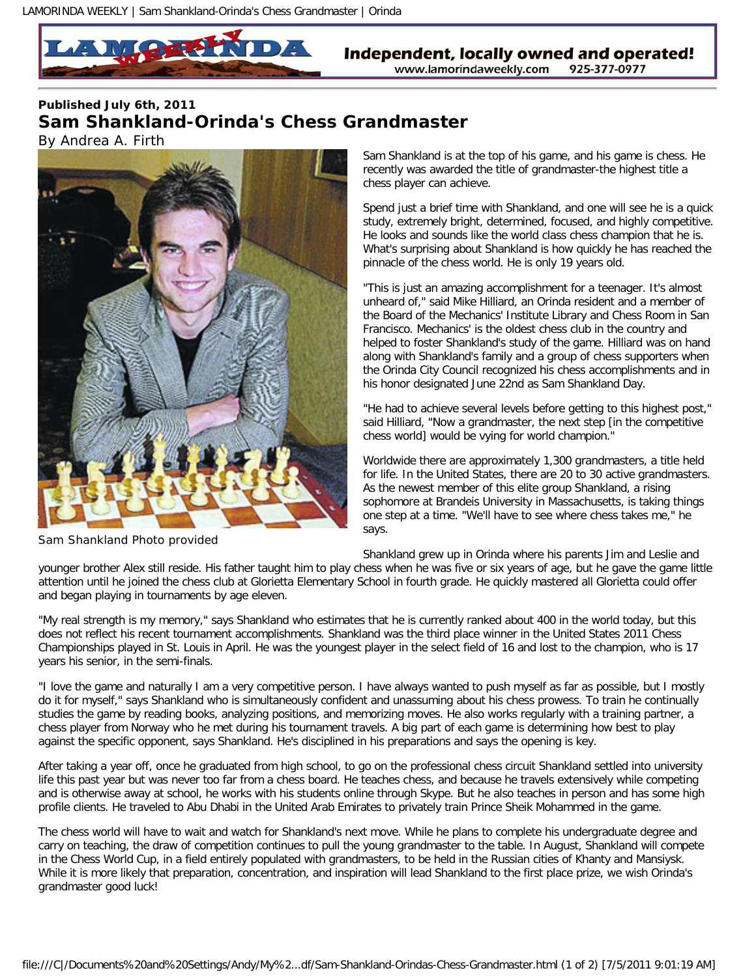## **Published July 6th, 2011 Sam Shankland-Orinda's Chess Grandmaster**  *By Andrea A. Firth*



Sam Shankland Photo provided

Sam Shankland is at the top of his game, and his game is chess. He recently was awarded the title of grandmaster-the highest title a chess player can achieve.

Spend just a brief time with Shankland, and one will see he is a quick study, extremely bright, determined, focused, and highly competitive. He looks and sounds like the world class chess champion that he is. What's surprising about Shankland is how quickly he has reached the pinnacle of the chess world. He is only 19 years old.

"This is just an amazing accomplishment for a teenager. It's almost unheard of," said Mike Hilliard, an Orinda resident and a member of the Board of the Mechanics' Institute Library and Chess Room in San Francisco. Mechanics' is the oldest chess club in the country and helped to foster Shankland's study of the game. Hilliard was on hand along with Shankland's family and a group of chess supporters when the Orinda City Council recognized his chess accomplishments and in his honor designated June 22nd as Sam Shankland Day.

"He had to achieve several levels before getting to this highest post," said Hilliard, "Now a grandmaster, the next step [in the competitive chess world] would be vying for world champion."

Worldwide there are approximately 1,300 grandmasters, a title held for life. In the United States, there are 20 to 30 active grandmasters. As the newest member of this elite group Shankland, a rising sophomore at Brandeis University in Massachusetts, is taking things one step at a time. "We'll have to see where chess takes me," he says.

Shankland grew up in Orinda where his parents Jim and Leslie and

younger brother Alex still reside. His father taught him to play chess when he was five or six years of age, but he gave the game little attention until he joined the chess club at Glorietta Elementary School in fourth grade. He quickly mastered all Glorietta could offer and began playing in tournaments by age eleven.

"My real strength is my memory," says Shankland who estimates that he is currently ranked about 400 in the world today, but this does not reflect his recent tournament accomplishments. Shankland was the third place winner in the United States 2011 Chess Championships played in St. Louis in April. He was the youngest player in the select field of 16 and lost to the champion, who is 17 years his senior, in the semi-finals.

"I love the game and naturally I am a very competitive person. I have always wanted to push myself as far as possible, but I mostly do it for myself," says Shankland who is simultaneously confident and unassuming about his chess prowess. To train he continually studies the game by reading books, analyzing positions, and memorizing moves. He also works regularly with a training partner, a chess player from Norway who he met during his tournament travels. A big part of each game is determining how best to play against the specific opponent, says Shankland. He's disciplined in his preparations and says the opening is key.

After taking a year off, once he graduated from high school, to go on the professional chess circuit Shankland settled into university life this past year but was never too far from a chess board. He teaches chess, and because he travels extensively while competing and is otherwise away at school, he works with his students online through Skype. But he also teaches in person and has some high profile clients. He traveled to Abu Dhabi in the United Arab Emirates to privately train Prince Sheik Mohammed in the game.

The chess world will have to wait and watch for Shankland's next move. While he plans to complete his undergraduate degree and carry on teaching, the draw of competition continues to pull the young grandmaster to the table. In August, Shankland will compete in the Chess World Cup, in a field entirely populated with grandmasters, to be held in the Russian cities of Khanty and Mansiysk. While it is more likely that preparation, concentration, and inspiration will lead Shankland to the first place prize, we wish Orinda's grandmaster good luck!